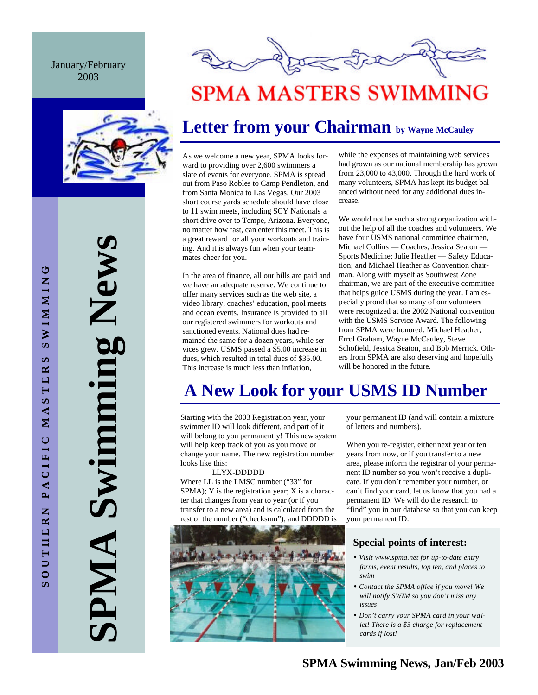#### January/February 2003



**SPMA Swimming News** Swimming New AMPI



# **SPMA MASTERS SWIMMING**

## **Letter from your Chairman by Wayne McCauley**

As we welcome a new year, SPMA looks forward to providing over 2,600 swimmers a slate of events for everyone. SPMA is spread out from Paso Robles to Camp Pendleton, and from Santa Monica to Las Vegas. Our 2003 short course yards schedule should have close to 11 swim meets, including SCY Nationals a short drive over to Tempe, Arizona. Everyone, no matter how fast, can enter this meet. This is a great reward for all your workouts and training. And it is always fun when your teammates cheer for you.

In the area of finance, all our bills are paid and we have an adequate reserve. We continue to offer many services such as the web site, a video library, coaches' education, pool meets and ocean events. Insurance is provided to all our registered swimmers for workouts and sanctioned events. National dues had remained the same for a dozen years, while services grew. USMS passed a \$5.00 increase in dues, which resulted in total dues of \$35.00. This increase is much less than inflation,

while the expenses of maintaining web services had grown as our national membership has grown from 23,000 to 43,000. Through the hard work of many volunteers, SPMA has kept its budget balanced without need for any additional dues increase.

We would not be such a strong organization without the help of all the coaches and volunteers. We have four USMS national committee chairmen, Michael Collins — Coaches; Jessica Seaton — Sports Medicine; Julie Heather — Safety Education; and Michael Heather as Convention chairman. Along with myself as Southwest Zone chairman, we are part of the executive committee that helps guide USMS during the year. I am especially proud that so many of our volunteers were recognized at the 2002 National convention with the USMS Service Award. The following from SPMA were honored: Michael Heather, Errol Graham, Wayne McCauley, Steve Schofield, Jessica Seaton, and Bob Merrick. Others from SPMA are also deserving and hopefully will be honored in the future.

# **A New Look for your USMS ID Number**

Starting with the 2003 Registration year, your swimmer ID will look different, and part of it will belong to you permanently! This new system will help keep track of you as you move or change your name. The new registration number looks like this:

 LLYX-DDDDD Where LL is the LMSC number ("33" for SPMA); Y is the registration year; X is a character that changes from year to year (or if you transfer to a new area) and is calculated from the rest of the number ("checksum"); and DDDDD is



your permanent ID (and will contain a mixture of letters and numbers).

When you re-register, either next year or ten years from now, or if you transfer to a new area, please inform the registrar of your permanent ID number so you won't receive a duplicate. If you don't remember your number, or can't find your card, let us know that you had a permanent ID. We will do the research to "find" you in our database so that you can keep your permanent ID.

### **Special points of interest:**

- *Visit www.spma.net for up-to-date entry forms, event results, top ten, and places to swim*
- *Contact the SPMA office if you move! We will notify SWIM so you don't miss any issues*
- *Don't carry your SPMA card in your wallet! There is a \$3 charge for replacement cards if lost!*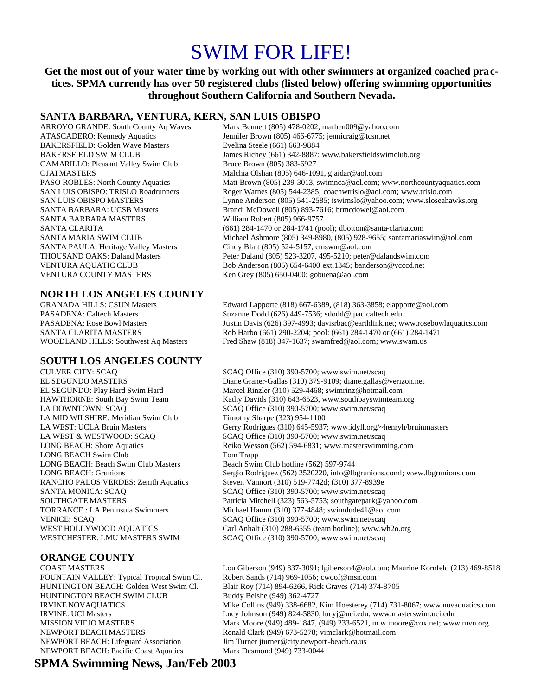# SWIM FOR LIFE!

**Get the most out of your water time by working out with other swimmers at organized coached practices. SPMA currently has over 50 registered clubs (listed below) offering swimming opportunities throughout Southern California and Southern Nevada.**

#### **SANTA BARBARA, VENTURA, KERN, SAN LUIS OBISPO**

BAKERSFIELD: Golden Wave Masters Evelina Steele (661) 663-9884 CAMARILLO: Pleasant Valley Swim Club Bruce Brown (805) 383-6927 SANTA BARBARA MASTERS William Robert (805) 966-9757 VENTURA COUNTY MASTERS Ken Grey (805) 650-0400; gobuena@aol.com

# **NORTH LOS ANGELES COUNTY**

# **SOUTH LOS ANGELES COUNTY**

LA MID WILSHIRE: Meridian Swim Club Timothy Sharpe (323) 954-1100 LONG BEACH Swim Club Tom Trapp LONG BEACH: Beach Swim Club Masters Beach Swim Club hotline (562) 597-9744 WESTCHESTER: LMU MASTERS SWIM SCAQ Office (310) 390-5700; www.swim.net/scaq

### **ORANGE COUNTY**

FOUNTAIN VALLEY: Typical Tropical Swim Cl. Robert Sands (714) 969-1056; cwoof@msn.com HUNTINGTON BEACH SWIM CLUB Buddy Belshe (949) 362-4727 NEWPORT BEACH: Lifeguard Association Jim Turner jturner@city.newport-beach.ca.us NEWPORT BEACH: Pacific Coast Aquatics Mark Desmond (949) 733-0044

ARROYO GRANDE: South County Aq Waves Mark Bennett (805) 478-0202; marben009@yahoo.com ATASCADERO: Kennedy Aquatics Jennifer Brown (805) 466-6775; jennicraig@tcsn.net BAKERSFIELD SWIM CLUB James Richey (661) 342-8887; www.bakersfieldswimclub.org OJAI MASTERS Malchia Olshan (805) 646-1091, gjaidar@aol.com PASO ROBLES: North County Aquatics Matt Brown (805) 239-3013, swimnca@aol.com; www.northcountyaquatics.com SAN LUIS OBISPO: TRISLO Roadrunners Roger Warnes (805) 544-2385; coachwtrislo@aol.com; www.trislo.com SAN LUIS OBISPO MASTERS Lynne Anderson (805) 541-2585; iswimslo@yahoo.com; www.sloseahawks.org SANTA BARBARA: UCSB Masters Brandi McDowell (805) 893-7616; brmcdowel@aol.com SANTA CLARITA (661) 284-1470 or 284-1741 (pool); dbotton@santa-clarita.com SANTA MARIA SWIM CLUB Michael Ashmore (805) 349-8980, (805) 928-9655; santamariaswim@aol.com SANTA PAULA: Heritage Valley Masters Cindy Blatt (805) 524-5157; cmswm@aol.com THOUSAND OAKS: Daland Masters Peter Daland (805) 523-3207, 495-5210; peter@dalandswim.com VENTURA AQUATIC CLUB Bob Anderson (805) 654-6400 ext.1345; banderson@vcccd.net

Edward Lapporte (818) 667-6389, (818) 363-3858; elapporte@aol.com PASADENA: Caltech Masters Suzanne Dodd (626) 449-7536; sdodd@ipac.caltech.edu PASADENA: Rose Bowl Masters Justin Davis (626) 397-4993; davisrbac@earthlink.net; www.rosebowlaquatics.com SANTA CLARITA MASTERS Rob Harbo (661) 290-2204; pool: (661) 284-1470 or (661) 284-1471 WOODLAND HILLS: Southwest Aq Masters Fred Shaw (818) 347-1637; swamfred@aol.com; www.swam.us

SCAQ Office (310) 390-5700; www.swim.net/scaq EL SEGUNDO MASTERS Diane Graner-Gallas (310) 379-9109; diane.gallas@verizon.net EL SEGUNDO: Play Hard Swim Hard Marcel Rinzler (310) 529-4468; swimrinz@hotmail.com HAWTHORNE: South Bay Swim Team Kathy Davids (310) 643-6523, www.southbayswimteam.org LA DOWNTOWN: SCAQ SCAQ Office (310) 390-5700; www.swim.net/scaq LA WEST: UCLA Bruin Masters Gerry Rodrigues (310) 645-5937; www.idyll.org/~henryh/bruinmasters LA WEST & WESTWOOD: SCAQ SCAQ SCAQ Office (310) 390-5700; www.swim.net/scaq LONG BEACH: Shore Aquatics Reiko Wesson (562) 594-6831; www.masterswimming.com LONG BEACH: Grunions Sergio Rodriguez (562) 2520220, info@lbgrunions.coml; www.lbgrunions.com RANCHO PALOS VERDES: Zenith Aquatics Steven Vannort (310) 519-7742d; (310) 377-8939e SANTA MONICA: SCAQ SCAQ Office (310) 390-5700; www.swim.net/scaq SOUTHGATE MASTERS Patricia Mitchell (323) 563-5753; southgatepark@yahoo.com TORRANCE : LA Peninsula Swimmers Michael Hamm (310) 377-4848; swimdude41@aol.com VENICE: SCAQ SCAQ Office (310) 390-5700; www.swim.net/scaq WEST HOLLYWOOD AQUATICS Carl Anhalt (310) 288-6555 (team hotline); www.wh2o.org

COAST MASTERS Lou Giberson (949) 837-3091; lgiberson4@aol.com; Maurine Kornfeld (213) 469-8518 HUNTINGTON BEACH: Golden West Swim Cl. Blair Roy (714) 894-6266, Rick Graves (714) 374-8705 IRVINE NOVAQUATICS Mike Collins (949) 338-6682, Kim Hoesterey (714) 731-8067; www.novaquatics.com IRVINE: UCI Masters Lucy Johnson (949) 824-5830, lucyj@uci.edu; www.masterswim.uci.edu MISSION VIEJO MASTERS Mark Moore (949) 489-1847, (949) 233-6521, m.w.moore@cox.net; www.mvn.org NEWPORT BEACH MASTERS Ronald Clark (949) 673-5278; vimclark@hotmail.com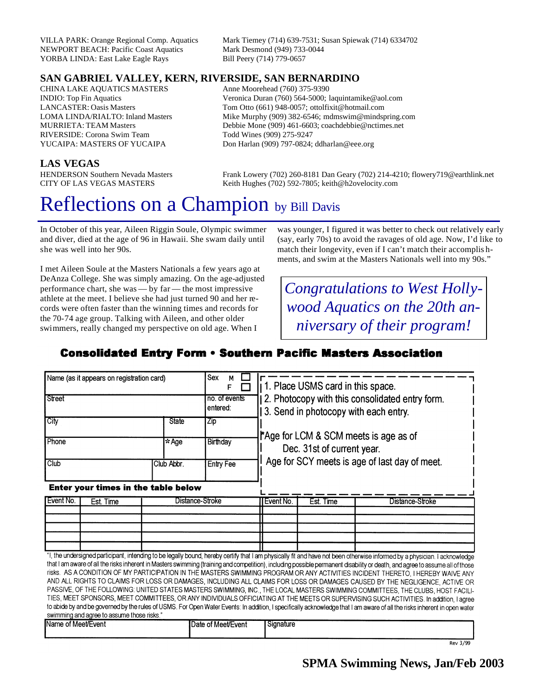NEWPORT BEACH: Pacific Coast Aquatics YORBA LINDA: East Lake Eagle Rays Bill Peery (714) 779-0657

VILLA PARK: Orange Regional Comp. Aquatics Mark Tiemey (714) 639-7531; Susan Spiewak (714) 6334702

### **SAN GABRIEL VALLEY, KERN, RIVERSIDE, SAN BERNARDINO**

CHINA LAKE AQUATICS MASTERS Anne Moorehead (760) 375-9390 RIVERSIDE: Corona Swim Team Todd Wines (909) 275-9247

INDIO: Top Fin Aquatics Veronica Duran (760) 564-5000; laquintamike@aol.com LANCASTER: Oasis Masters Tom Otto (661) 948-0057; ottolfixit@hotmail.com LOMA LINDA/RIALTO: Inland Masters Mike Murphy (909) 382-6546; mdmswim@mindspring.com MURRIETA: TEAM Masters Debbie Mone (909) 461-6603; coachdebbie@nctimes.net YUCAIPA: MASTERS OF YUCAIPA Don Harlan (909) 797-0824; ddharlan @eee.org

#### **LAS VEGAS**

HENDERSON Southern Nevada Masters Frank Lowery (702) 260-8181 Dan Geary (702) 214-4210; flowery719@earthlink.net<br>CITY OF LAS VEGAS MASTERS Keith Hughes (702) 592-7805: keith@h2ovelocity.com Keith Hughes (702) 592-7805; keith@h2ovelocity.com

# Reflections on a Champion by Bill Davis

In October of this year, Aileen Riggin Soule, Olympic swimmer and diver, died at the age of 96 in Hawaii. She swam daily until she was well into her 90s.

I met Aileen Soule at the Masters Nationals a few years ago at DeAnza College. She was simply amazing. On the age-adjusted performance chart, she was — by far — the most impressive athlete at the meet. I believe she had just turned 90 and her records were often faster than the winning times and records for the 70-74 age group. Talking with Aileen, and other older swimmers, really changed my perspective on old age. When I

was younger, I figured it was better to check out relatively early (say, early 70s) to avoid the ravages of old age. Now, I'd like to match their longevity, even if I can't match their accomplis hments, and swim at the Masters Nationals well into my 90s."

*Congratulations to West Hollywood Aquatics on the 20th anniversary of their program!*

### **Consolidated Entry Form • Southern Pacific Masters Association**

| "I, the undersigned participant, intending to be legally bound, hereby certify that I am physically fit and have not been otherwise informed by a physician. I acknowledge                                                                                    |
|---------------------------------------------------------------------------------------------------------------------------------------------------------------------------------------------------------------------------------------------------------------|
| that I am aware of all the risks inherent in Masters swimming (training and competition), including possible permanent disability or death, and agree to assume all of those                                                                                  |
| risks. AS A CONDITION OF MY PARTICIPATION IN THE MASTERS SWIMMING PROGRAM OR ANY ACTIVITIES INCIDENT THERETO, I HEREBY WAIVE ANY                                                                                                                              |
| AND ALL RIGHTS TO CLAIMS FOR LOSS OR DAMAGES, INCLUDING ALL CLAIMS FOR LOSS OR DAMAGES CAUSED BY THE NEGLIGENCE, ACTIVE OR<br>PASSIVE, OF THE FOLLOWING: UNITED STATES MASTERS SWIMMING, INC., THE LOCAL MASTERS SWIMMING COMMITTEES, THE CLUBS, HOST FACILI- |
| TIES, MEET SPONSORS, MEET COMMITTEES, OR ANY INDIVIDUALS OFFICIATING AT THE MEETS OR SUPERVISING SUCH ACTIVITIES. In addition, I agree                                                                                                                        |
| to abide by and be governed by the rules of USMS. For Open Water Events: In addition, I specifically acknowledge that I am aware of all the risks inherent in open water                                                                                      |
|                                                                                                                                                                                                                                                               |
|                                                                                                                                                                                                                                                               |

| of Meet/Event ؛<br>iName | Date of Meet/Event | I Signature |
|--------------------------|--------------------|-------------|
|                          |                    |             |

Rev 3/99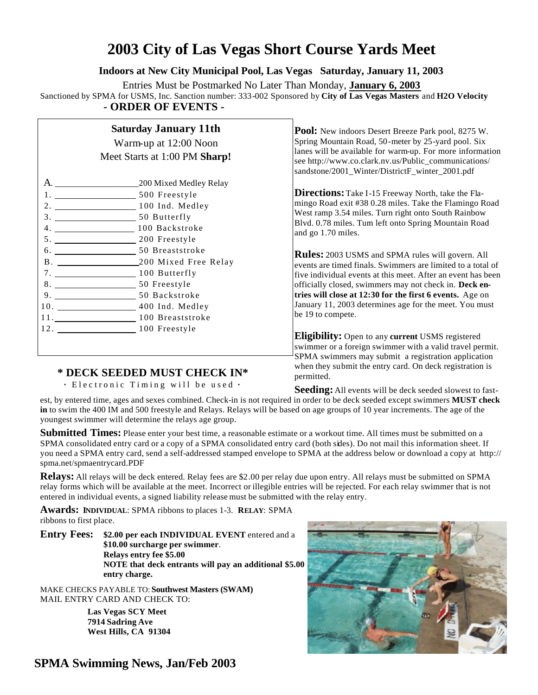## **2003 City of Las Vegas Short Course Yards Meet**

**Indoors at New City Municipal Pool, Las Vegas Saturday, January 11, 2003**

Entries Must be Postmarked No Later Than Monday, **January 6, 2003**

Sanctioned by SPMA for USMS, Inc. Sanction number: 333-002 Sponsored by **City of Las Vegas Masters** and **H2O Velocity - ORDER OF EVENTS -**

## **Saturday January 11th**

Warm-up at 12:00 Noon Meet Starts at 1:00 PM **Sharp!**

|                                                       | 200 Mixed Medley Relay  |
|-------------------------------------------------------|-------------------------|
| 1.<br><u> 1989 - Andrea Barbara, poeta esperanto-</u> | 500 Freestyle           |
| 2. 100 Ind. Medley                                    |                         |
|                                                       |                         |
|                                                       | 100 Backstroke          |
| 5. 200 Freestyle                                      |                         |
|                                                       | 50 Breaststroke         |
|                                                       | B. 200 Mixed Free Relay |
| 7.                                                    | 100 Butterfly           |
| 8. 50 Freestyle                                       |                         |
| 9.                                                    | 50 Backstroke           |
|                                                       | 400 Ind. Medley         |
| 11. 100 Breaststroke                                  |                         |
| 12. 100 Freestyle                                     |                         |
|                                                       |                         |

Pool: New indoors Desert Breeze Park pool, 8275 W. Spring Mountain Road, 50-meter by 25-yard pool. Six lanes will be available for warm-up. For more information see http://www.co.clark.nv.us/Public\_communications/ sandstone/2001\_Winter/DistrictF\_winter\_2001.pdf

**Directions:** Take I-15 Freeway North, take the Flamingo Road exit #38 0.28 miles. Take the Flamingo Road West ramp 3.54 miles. Turn right onto South Rainbow Blvd. 0.78 miles. Turn left onto Spring Mountain Road and go 1.70 miles.

**Rules:** 2003 USMS and SPMA rules will govern. All events are timed finals. Swimmers are limited to a total of five individual events at this meet. After an event has been officially closed, swimmers may not check in. **Deck entries will close at 12:30 for the first 6 events.** Age on January 11, 2003 determines age for the meet. You must be 19 to compete.

**Eligibility:** Open to any **current** USMS registered swimmer or a foreign swimmer with a valid travel permit. SPMA swimmers may submit a registration application when they submit the entry card. On deck registration is permitted.

### **\* DECK SEEDED MUST CHECK IN\***

 **·** Electronic Timing will be used **·**

**Seeding:** All events will be deck seeded slowest to fast-

est, by entered time, ages and sexes combined. Check-in is not required in order to be deck seeded except swimmers **MUST check in** to swim the 400 IM and 500 freestyle and Relays. Relays will be based on age groups of 10 year increments. The age of the youngest swimmer will determine the relays age group.

**Submitted Times:** Please enter your best time, a reasonable estimate or a workout time. All times must be submitted on a SPMA consolidated entry card or a copy of a SPMA consolidated entry card (both sides). Do not mail this information sheet. If you need a SPMA entry card, send a self-addressed stamped envelope to SPMA at the address below or download a copy at http:// spma.net/spmaentrycard.PDF

**Relays:** All relays will be deck entered. Relay fees are \$2.00 per relay due upon entry. All relays must be submitted on SPMA relay forms which will be available at the meet. Incorrect or illegible entries will be rejected. For each relay swimmer that is not entered in individual events, a signed liability release must be submitted with the relay entry.

**Awards: INDIVIDUAL**: SPMA ribbons to places 1-3. **RELAY**: SPMA ribbons to first place.

**Entry Fees: \$2.00 per each INDIVIDUAL EVENT** entered and a **\$10.00 surcharge per swimmer**. **Relays entry fee \$5.00 NOTE that deck entrants will pay an additional \$5.00 entry charge.**

MAKE CHECKS PAYABLE TO: **Southwest Masters (SWAM)** MAIL ENTRY CARD AND CHECK TO:

> **Las Vegas SCY Meet 7914 Sadring Ave West Hills, CA 91304**

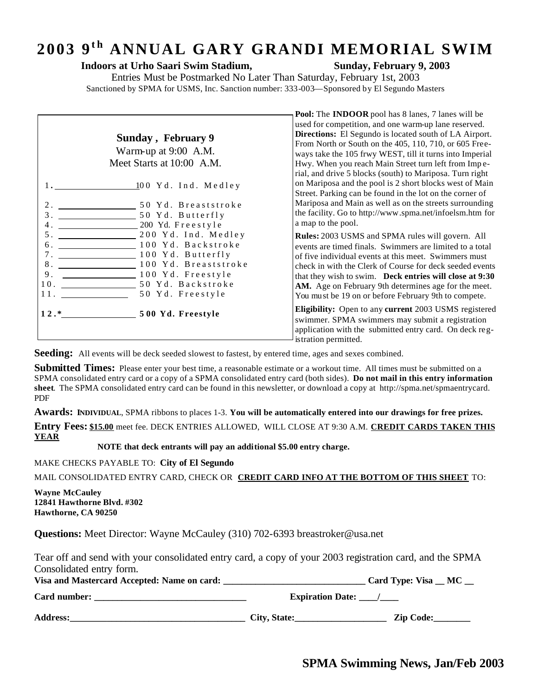# 2003 9<sup>th</sup> ANNUAL GARY GRANDI MEMORIAL SWIM

#### **Indoors at Urho Saari Swim Stadium, Sunday, February 9, 2003**

**Pool:** The **INDOOR** pool has 8 lanes, 7 lanes will be

Entries Must be Postmarked No Later Than Saturday, February 1st, 2003 Sanctioned by SPMA for USMS, Inc. Sanction number: 333-003—Sponsored by El Segundo Masters

|                             | Sunday, February 9<br>Warm-up at 9:00 A.M.<br>Meet Starts at 10:00 A.M.<br>1. 100 Yd. Ind. Medley<br>$\frac{1}{2}$ 50 Yd. Butterfly                                           | used for competition, and one warm-up lane reserved.<br><b>Directions:</b> El Segundo is located south of LA Airport.<br>From North or South on the 405, 110, 710, or 605 Free-<br>ways take the 105 frwy WEST, till it turns into Imperial<br>Hwy. When you reach Main Street turn left from Impe-<br>rial, and drive 5 blocks (south) to Mariposa. Turn right<br>on Mariposa and the pool is 2 short blocks west of Main<br>Street. Parking can be found in the lot on the corner of<br>Mariposa and Main as well as on the streets surrounding<br>the facility. Go to http://www.spma.net/infoelsm.htm for |
|-----------------------------|-------------------------------------------------------------------------------------------------------------------------------------------------------------------------------|---------------------------------------------------------------------------------------------------------------------------------------------------------------------------------------------------------------------------------------------------------------------------------------------------------------------------------------------------------------------------------------------------------------------------------------------------------------------------------------------------------------------------------------------------------------------------------------------------------------|
| 5.<br>б.<br>8.<br>9.<br>11. | 200 Yd. Freestyle<br>200 Yd. Ind. Medley<br>100 Yd. Backstroke<br>100 Yd. Butterfly<br>100 Yd. Breaststroke<br>100 Yd. Freestyle<br>10. 50 Yd. Backstroke<br>50 Yd. Freestyle | a map to the pool.<br><b>Rules:</b> 2003 USMS and SPMA rules will govern. All<br>events are timed finals. Swimmers are limited to a total<br>of five individual events at this meet. Swimmers must<br>check in with the Clerk of Course for deck seeded events<br>that they wish to swim. Deck entries will close at 9:30<br>AM. Age on February 9th determines age for the meet.<br>You must be 19 on or before February 9th to compete.                                                                                                                                                                     |
|                             |                                                                                                                                                                               | Eligibility: Open to any current 2003 USMS registered<br>swimmer. SPMA swimmers may submit a registration<br>application with the submitted entry card. On deck reg-<br>istration permitted.                                                                                                                                                                                                                                                                                                                                                                                                                  |

**Seeding:** All events will be deck seeded slowest to fastest, by entered time, ages and sexes combined.

**Submitted Times:** Please enter your best time, a reasonable estimate or a workout time. All times must be submitted on a SPMA consolidated entry card or a copy of a SPMA consolidated entry card (both sides). **Do not mail in this entry information sheet**. The SPMA consolidated entry card can be found in this newsletter, or download a copy at http://spma.net/spmaentrycard. PDF

**Awards: INDIVIDUAL**, SPMA ribbons to places 1-3. **You will be automatically entered into our drawings for free prizes.**

**Entry Fees: \$15.00** meet fee. DECK ENTRIES ALLOWED, WILL CLOSE AT 9:30 A.M. **CREDIT CARDS TAKEN THIS YEAR**

 **NOTE that deck entrants will pay an additional \$5.00 entry charge.**

MAKE CHECKS PAYABLE TO: **City of El Segundo**

MAIL CONSOLIDATED ENTRY CARD, CHECK OR **CREDIT CARD INFO AT THE BOTTOM OF THIS SHEET** TO:

**Wayne McCauley 12841 Hawthorne Blvd. #302 Hawthorne, CA 90250** 

**Questions:** Meet Director: Wayne McCauley (310) 702-6393 breastroker@usa.net

Tear off and send with your consolidated entry card, a copy of your 2003 registration card, and the SPMA Consolidated entry form.

| Visa and Mastercard Accepted: Name on card: | Card Type: Visa _ MC |  |
|---------------------------------------------|----------------------|--|
|                                             |                      |  |

**Card number: \_\_\_\_\_\_\_\_\_\_\_\_\_\_\_\_\_\_\_\_\_\_\_\_\_\_\_\_\_\_\_\_\_ Expiration Date: \_\_\_\_/\_\_\_\_**

**Address:\_\_\_\_\_\_\_\_\_\_\_\_\_\_\_\_\_\_\_\_\_\_\_\_\_\_\_\_\_\_\_\_\_\_\_\_\_\_ City, State:\_\_\_\_\_\_\_\_\_\_\_\_\_\_\_\_\_\_\_\_ Zip Code:\_\_\_\_\_\_\_\_**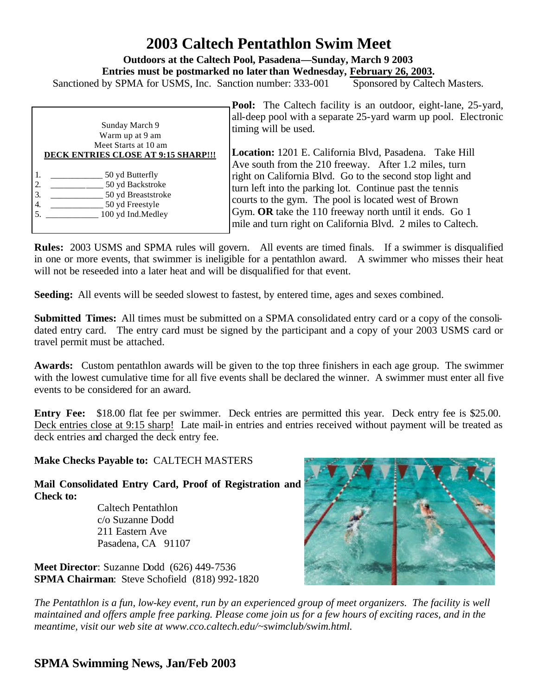## **2003 Caltech Pentathlon Swim Meet**

**Outdoors at the Caltech Pool, Pasadena—Sunday, March 9 2003**

**Entries must be postmarked no later than Wednesday, February 26, 2003.**

Sanctioned by SPMA for USMS, Inc. Sanction number: 333-001 Sponsored by Caltech Masters.

| Sunday March 9<br>Warm up at 9 am<br>Meet Starts at 10 am                                                                 | <b>Pool:</b> The Caltech facility is an outdoor, eight-lane, 25-yard,<br>all-deep pool with a separate 25-yard warm up pool. Electronic<br>timing will be used.                                                                                                                                                                                                 |
|---------------------------------------------------------------------------------------------------------------------------|-----------------------------------------------------------------------------------------------------------------------------------------------------------------------------------------------------------------------------------------------------------------------------------------------------------------------------------------------------------------|
| <b>DECK ENTRIES CLOSE AT 9:15 SHARP!!!</b>                                                                                | Location: 1201 E. California Blvd, Pasadena. Take Hill                                                                                                                                                                                                                                                                                                          |
| 50 yd Butterfly<br>50 yd Backstroke<br>2.<br>3.<br>50 yd Breaststroke<br>50 yd Freestyle<br>4.<br>100 yd Ind.Medley<br>5. | Ave south from the 210 freeway. After 1.2 miles, turn<br>right on California Blvd. Go to the second stop light and<br>turn left into the parking lot. Continue past the tennis<br>courts to the gym. The pool is located west of Brown<br>Gym. OR take the 110 freeway north until it ends. Go 1<br>mile and turn right on California Blvd. 2 miles to Caltech. |

**Rules:** 2003 USMS and SPMA rules will govern. All events are timed finals. If a swimmer is disqualified in one or more events, that swimmer is ineligible for a pentathlon award. A swimmer who misses their heat will not be reseeded into a later heat and will be disqualified for that event.

**Seeding:** All events will be seeded slowest to fastest, by entered time, ages and sexes combined.

**Submitted Times:** All times must be submitted on a SPMA consolidated entry card or a copy of the consolidated entry card. The entry card must be signed by the participant and a copy of your 2003 USMS card or travel permit must be attached.

**Awards:** Custom pentathlon awards will be given to the top three finishers in each age group. The swimmer with the lowest cumulative time for all five events shall be declared the winner. A swimmer must enter all five events to be considered for an award.

**Entry Fee:** \$18.00 flat fee per swimmer. Deck entries are permitted this year. Deck entry fee is \$25.00. Deck entries close at 9:15 sharp! Late mail-in entries and entries received without payment will be treated as deck entries and charged the deck entry fee.

**Make Checks Payable to:** CALTECH MASTERS

**Mail Consolidated Entry Card, Proof of Registration and Check to:**

 Caltech Pentathlon c/o Suzanne Dodd 211 Eastern Ave Pasadena, CA 91107

**Meet Director**: Suzanne Dodd (626) 449-7536 **SPMA Chairman**: Steve Schofield(818) 992-1820



*The Pentathlon is a fun, low-key event, run by an experienced group of meet organizers. The facility is well maintained and offers ample free parking. Please come join us for a few hours of exciting races, and in the meantime, visit our web site at www.cco.caltech.edu/~swimclub/swim.html.*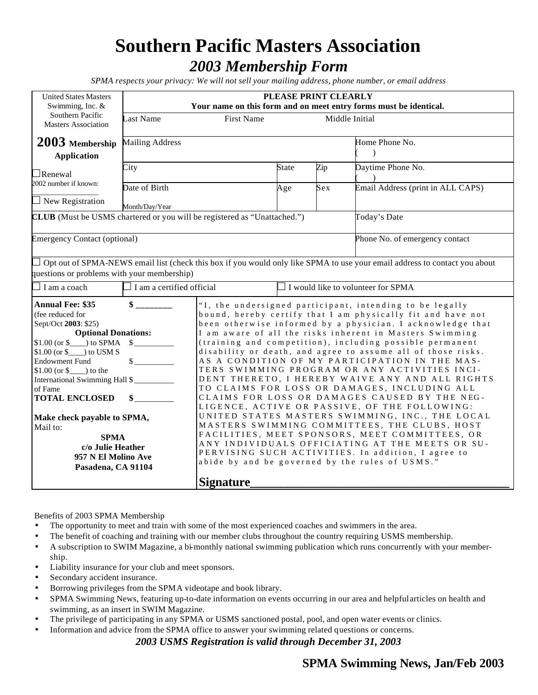# **Southern Pacific Masters Association** *2003 Membership Form*

*SPMA respects your privacy: We will not sell your mailing address, phone number, or email address*

| <b>United States Masters</b>                                                    | PLEASE PRINT CLEARLY<br>Your name on this form and on meet entry forms must be identical.                                  |                                                              |              |     |                                                                                                                                   |
|---------------------------------------------------------------------------------|----------------------------------------------------------------------------------------------------------------------------|--------------------------------------------------------------|--------------|-----|-----------------------------------------------------------------------------------------------------------------------------------|
| Swimming, Inc. &<br>Southern Pacific                                            |                                                                                                                            |                                                              |              |     |                                                                                                                                   |
| <b>Masters Association</b>                                                      | Last Name<br><b>First Name</b><br>Middle Initial                                                                           |                                                              |              |     |                                                                                                                                   |
|                                                                                 |                                                                                                                            |                                                              |              |     |                                                                                                                                   |
| $2003$ Membership                                                               | <b>Mailing Address</b>                                                                                                     |                                                              |              |     | Home Phone No.                                                                                                                    |
| <b>Application</b>                                                              |                                                                                                                            |                                                              |              |     | $\lambda$                                                                                                                         |
|                                                                                 |                                                                                                                            |                                                              |              |     |                                                                                                                                   |
| $\Box$ Renewal                                                                  | City                                                                                                                       |                                                              | <b>State</b> | Zip | Daytime Phone No.                                                                                                                 |
| 2002 number if known:                                                           |                                                                                                                            |                                                              |              |     |                                                                                                                                   |
|                                                                                 | Date of Birth                                                                                                              |                                                              | Age          | Sex | Email Address (print in ALL CAPS)                                                                                                 |
| $\Box$ New Registration                                                         | Month/Day/Year                                                                                                             |                                                              |              |     |                                                                                                                                   |
| <b>CLUB</b> (Must be USMS chartered or you will be registered as "Unattached.") |                                                                                                                            |                                                              |              |     | Today's Date                                                                                                                      |
|                                                                                 |                                                                                                                            |                                                              |              |     |                                                                                                                                   |
| <b>Emergency Contact (optional)</b>                                             |                                                                                                                            |                                                              |              |     | Phone No. of emergency contact                                                                                                    |
|                                                                                 |                                                                                                                            |                                                              |              |     |                                                                                                                                   |
|                                                                                 |                                                                                                                            |                                                              |              |     |                                                                                                                                   |
|                                                                                 |                                                                                                                            |                                                              |              |     | $\Box$ Opt out of SPMA-NEWS email list (check this box if you would only like SPMA to use your email address to contact you about |
| questions or problems with your membership)                                     |                                                                                                                            |                                                              |              |     |                                                                                                                                   |
| $\exists$ I am a coach                                                          | $\Box$ I am a certified official                                                                                           |                                                              |              |     | $\Box$ I would like to volunteer for SPMA                                                                                         |
| <b>Annual Fee: \$35</b>                                                         | "I, the undersigned participant, intending to be legally                                                                   |                                                              |              |     |                                                                                                                                   |
| (fee reduced for                                                                |                                                                                                                            |                                                              |              |     | bound, hereby certify that I am physically fit and have not                                                                       |
| Sept/Oct 2003: \$25)                                                            | been otherwise informed by a physician. I acknowledge that                                                                 |                                                              |              |     |                                                                                                                                   |
| <b>Optional Donations:</b>                                                      |                                                                                                                            | I am aware of all the risks inherent in Masters Swimming     |              |     |                                                                                                                                   |
| $$1.00 (or $ )$ to SPMA $$$                                                     |                                                                                                                            | (training and competition), including possible permanent     |              |     |                                                                                                                                   |
| $$1.00$ (or $$$ ) to USM S                                                      |                                                                                                                            | disability or death, and agree to assume all of those risks. |              |     |                                                                                                                                   |
| <b>Endowment Fund</b>                                                           | $\frac{\sqrt{2}}{2}$                                                                                                       | AS A CONDITION OF MY PARTICIPATION IN THE MAS-               |              |     |                                                                                                                                   |
| $$1.00 (or $)$ to the                                                           |                                                                                                                            | TERS SWIMMING PROGRAM OR ANY ACTIVITIES INCI-                |              |     |                                                                                                                                   |
| International Swimming Hall \$                                                  |                                                                                                                            | DENT THERETO, I HEREBY WAIVE ANY AND ALL RIGHTS              |              |     |                                                                                                                                   |
| of Fame                                                                         |                                                                                                                            | TO CLAIMS FOR LOSS OR DAMAGES, INCLUDING ALL                 |              |     |                                                                                                                                   |
| <b>TOTAL ENCLOSED</b>                                                           | $\sim$                                                                                                                     |                                                              |              |     | CLAIMS FOR LOSS OR DAMAGES CAUSED BY THE NEG-                                                                                     |
|                                                                                 |                                                                                                                            |                                                              |              |     | LIGENCE, ACTIVE OR PASSIVE, OF THE FOLLOWING:                                                                                     |
| UNITED STATES MASTERS SWIMMING, INC., THE LOCAL<br>Make check payable to SPMA,  |                                                                                                                            |                                                              |              |     |                                                                                                                                   |
| Mail to:                                                                        | MASTERS SWIMMING COMMITTEES, THE CLUBS, HOST                                                                               |                                                              |              |     |                                                                                                                                   |
|                                                                                 | FACILITIES, MEET SPONSORS, MEET COMMITTEES, OR<br><b>SPMA</b>                                                              |                                                              |              |     |                                                                                                                                   |
|                                                                                 | ANY INDIVIDUALS OFFICIATING AT THE MEETS OR SU-<br>c/o Julie Heather<br>PERVISING SUCH ACTIVITIES. In addition, I agree to |                                                              |              |     |                                                                                                                                   |
| 957 N El Molino Ave                                                             |                                                                                                                            |                                                              |              |     | abide by and be governed by the rules of USMS."                                                                                   |
| Pasadena, CA 91104                                                              |                                                                                                                            |                                                              |              |     |                                                                                                                                   |
|                                                                                 |                                                                                                                            | <b>Signature</b>                                             |              |     |                                                                                                                                   |
|                                                                                 |                                                                                                                            |                                                              |              |     |                                                                                                                                   |

Benefits of 2003 SPMA Membership

- The opportunity to meet and train with some of the most experienced coaches and swimmers in the area.
- The benefit of coaching and training with our member clubs throughout the country requiring USMS membership.
- A subscription to SWIM Magazine, a bi-monthly national swimming publication which runs concurrently with your membership.
- Liability insurance for your club and meet sponsors.
- Secondary accident insurance.
- Borrowing privileges from the SPMA videotape and book library.
- SPMA Swimming News, featuring up-to-date information on events occurring in our area and helpful articles on health and swimming, as an insert in SWIM Magazine.
- The privilege of participating in any SPMA or USMS sanctioned postal, pool, and open water events or clinics.
- Information and advice from the SPMA office to answer your swimming related questions or concerns.

*2003 USMS Registration is valid through December 31, 2003*